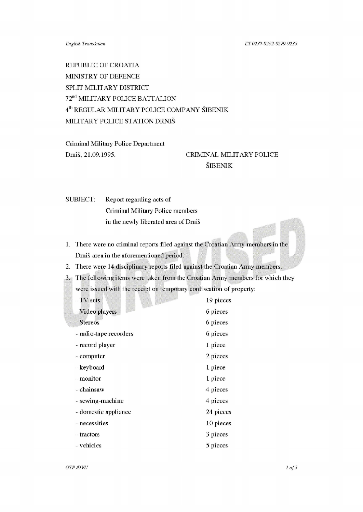REPUBLIC OF CROATIA MINISTRY OF DEFENCE SPLIT MILITARY DISTRICT 72<sup>nd</sup> MILITARY POLICE BATTALION 4th REGULAR MILITARY POLICE COMPANY SIBENIK MILITARY POLICE STATION DRNIS

Criminal Military Police Department Dmis, 21.09.1995.

## CRIMINAL MILITARY POLICE SIBENIK

SUBJECT: Report regarding acts of Criminal Military Police members in the newly liberated area of Dmis

- 1. There were no criminal reports filed against the Croatian Army members in the Dmis area in the aforementioned period.
- 2. There were 14 disciplinary reports filed against the Croatian Army members.
- 3. The following items were taken from the Croatian Army members for which they were issued with the receipt on temporary confiscation of property:

| - TV sets              | 19 pieces |
|------------------------|-----------|
| - Video players        | 6 pieces  |
| - Stereos              | 6 pieces  |
| - radio-tape recorders | 6 pieces  |
| - record player        | 1 piece   |
| - computer             | 2 pieces  |
| - keyboard             | 1 piece   |
| - monitor              | 1 piece   |
| - chainsaw             | 4 pieces  |
| - sewing-machine       | 4 pieces  |
| - domestic appliance   | 24 pieces |
| - necessities          | 10 pieces |
| - tractors             | 3 pieces  |
| - vehicles             | 5 pieces  |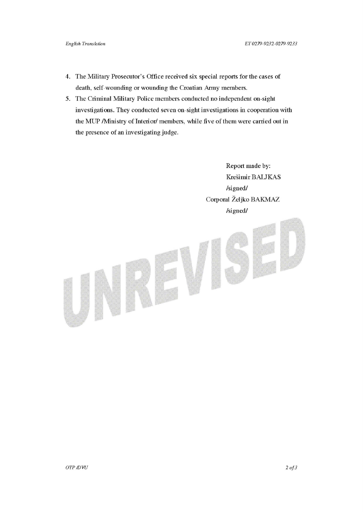- 4. The Military Prosecutor's Office received six special reports for the cases of death, self-wounding or wounding the Croatian Army members.
- *5.* The Criminal Military Police members conducted no independent on-sight investigations. They conducted seven on-sight investigations in cooperation with the MUP /Ministry of Interior/ members, while five of them were carried out in the presence of an investigating judge.

Report made by: Krešimir BALJKAS /signed/ Corporal Zeljko BAKMAZ /signed/